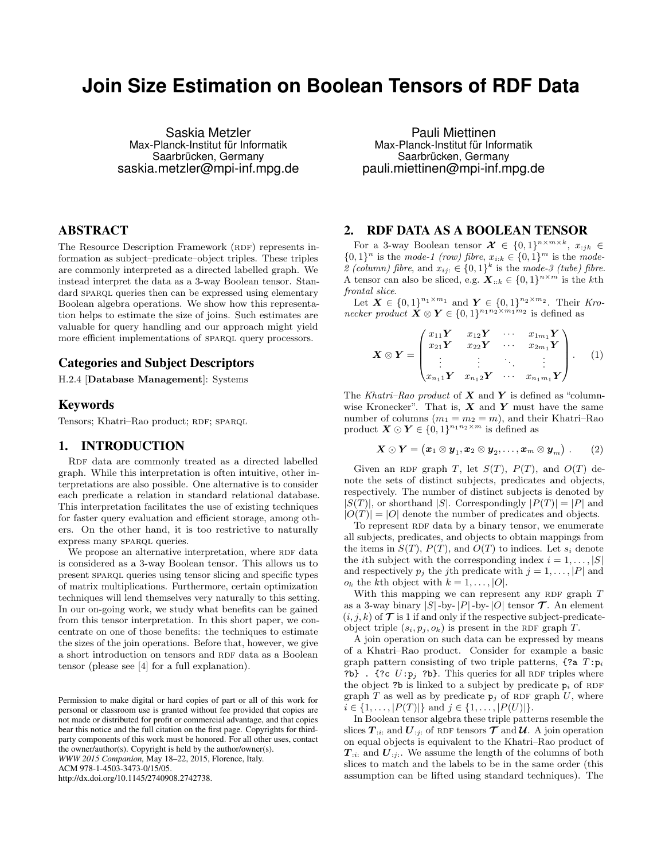# **Join Size Estimation on Boolean Tensors of RDF Data**

Saskia Metzler Max-Planck-Institut für Informatik Saarbrücken, Germany saskia.metzler@mpi-inf.mpg.de

# ABSTRACT

The Resource Description Framework (RDF) represents information as subject–predicate–object triples. These triples are commonly interpreted as a directed labelled graph. We instead interpret the data as a 3-way Boolean tensor. Standard SPARQL queries then can be expressed using elementary Boolean algebra operations. We show how this representation helps to estimate the size of joins. Such estimates are valuable for query handling and our approach might yield more efficient implementations of SPARQL query processors.

# Categories and Subject Descriptors

H.2.4 [Database Management]: Systems

## Keywords

Tensors; Khatri–Rao product; RDF; SPARQL

#### 1. INTRODUCTION

RDF data are commonly treated as a directed labelled graph. While this interpretation is often intuitive, other interpretations are also possible. One alternative is to consider each predicate a relation in standard relational database. This interpretation facilitates the use of existing techniques for faster query evaluation and efficient storage, among others. On the other hand, it is too restrictive to naturally express many SPARQL queries.

We propose an alternative interpretation, where RDF data is considered as a 3-way Boolean tensor. This allows us to present sparql queries using tensor slicing and specific types of matrix multiplications. Furthermore, certain optimization techniques will lend themselves very naturally to this setting. In our on-going work, we study what benefits can be gained from this tensor interpretation. In this short paper, we concentrate on one of those benefits: the techniques to estimate the sizes of the join operations. Before that, however, we give a short introduction on tensors and RDF data as a Boolean tensor (please see [4] for a full explanation).

*WWW 2015 Companion,* May 18–22, 2015, Florence, Italy.

ACM 978-1-4503-3473-0/15/05.

http://dx.doi.org/10.1145/2740908.2742738.

Pauli Miettinen Max-Planck-Institut für Informatik Saarbrücken, Germany pauli.miettinen@mpi-inf.mpg.de

# 2. RDF DATA AS A BOOLEAN TENSOR

For a 3-way Boolean tensor  $\mathcal{X} \in \{0,1\}^{n \times m \times k}, x_{:jk} \in$  $\{0,1\}^n$  is the mode-1 (row) fibre,  $x_{i:k} \in \{0,1\}^m$  is the mode-2 (column) fibre, and  $x_{ij} \in \{0,1\}^k$  is the mode-3 (tube) fibre. A tensor can also be sliced, e.g.  $\mathbf{X}_{::k} \in \{0,1\}^{n \times m}$  is the kth frontal slice.

Let  $X \in \{0,1\}^{n_1 \times m_1}$  and  $Y \in \{0,1\}^{n_2 \times m_2}$ . Their Kronecker product  $\mathbf{X} \otimes \mathbf{Y} \in \{0,1\}^{n_1 n_2 \times m_1 m_2}$  is defined as

$$
\boldsymbol{X} \otimes \boldsymbol{Y} = \begin{pmatrix} x_{11} \boldsymbol{Y} & x_{12} \boldsymbol{Y} & \cdots & x_{1m_1} \boldsymbol{Y} \\ x_{21} \boldsymbol{Y} & x_{22} \boldsymbol{Y} & \cdots & x_{2m_1} \boldsymbol{Y} \\ \vdots & \vdots & \ddots & \vdots \\ x_{n_1 1} \boldsymbol{Y} & x_{n_1 2} \boldsymbol{Y} & \cdots & x_{n_1 m_1} \boldsymbol{Y} \end{pmatrix} . \qquad (1)
$$

The Khatri–Rao product of  $X$  and  $Y$  is defined as "columnwise Kronecker". That is,  $X$  and  $Y$  must have the same number of columns  $(m_1 = m_2 = m)$ , and their Khatri–Rao product  $\mathbf{X} \odot \mathbf{Y} \in \{0,1\}^{n_1 n_2 \times m}$  is defined as

$$
\mathbf{X}\odot\mathbf{Y}=\big(\mathbf{x}_1\otimes\mathbf{y}_1,\mathbf{x}_2\otimes\mathbf{y}_2,\ldots,\mathbf{x}_m\otimes\mathbf{y}_m\big)\ .\qquad (2)
$$

Given an RDF graph T, let  $S(T)$ ,  $P(T)$ , and  $O(T)$  denote the sets of distinct subjects, predicates and objects, respectively. The number of distinct subjects is denoted by  $|S(T)|$ , or shorthand  $|S|$ . Correspondingly  $|P(T)| = |P|$  and  $|O(T)| = |O|$  denote the number of predicates and objects.

To represent RDF data by a binary tensor, we enumerate all subjects, predicates, and objects to obtain mappings from the items in  $S(T)$ ,  $P(T)$ , and  $O(T)$  to indices. Let  $s_i$  denote the *i*th subject with the corresponding index  $i = 1, ..., |S|$ and respectively  $p_j$  the jth predicate with  $j = 1, \ldots, |P|$  and  $o_k$  the kth object with  $k = 1, \ldots, |O|$ .

With this mapping we can represent any RDF graph  $T$ as a 3-way binary  $|S|$ -by- $|P|$ -by- $|O|$  tensor  $\mathcal T$ . An element  $(i, j, k)$  of  $\mathcal T$  is 1 if and only if the respective subject-predicateobject triple  $(s_i, p_j, o_k)$  is present in the RDF graph T.

A join operation on such data can be expressed by means of a Khatri–Rao product. Consider for example a basic graph pattern consisting of two triple patterns,  $\{?a T: p_i\}$ ?b} . {?c  $U: p_j$  ?b}. This queries for all RDF triples where the object ?b is linked to a subject by predicate  $p_i$  of RDF graph T as well as by predicate  $p_j$  of RDF graph U, where  $i \in \{1, \ldots, |P(T)|\}$  and  $j \in \{1, \ldots, |P(U)|\}$ .

In Boolean tensor algebra these triple patterns resemble the slices  $T_{ii}$  and  $U_{ii}$  of RDF tensors  $\mathcal T$  and  $\mathcal U$ . A join operation on equal objects is equivalent to the Khatri–Rao product of  $T_{i,i}$  and  $U_{i,j}$ . We assume the length of the columns of both slices to match and the labels to be in the same order (this assumption can be lifted using standard techniques). The

Permission to make digital or hard copies of part or all of this work for personal or classroom use is granted without fee provided that copies are not made or distributed for profit or commercial advantage, and that copies bear this notice and the full citation on the first page. Copyrights for thirdparty components of this work must be honored. For all other uses, contact the owner/author(s). Copyright is held by the author/owner(s).